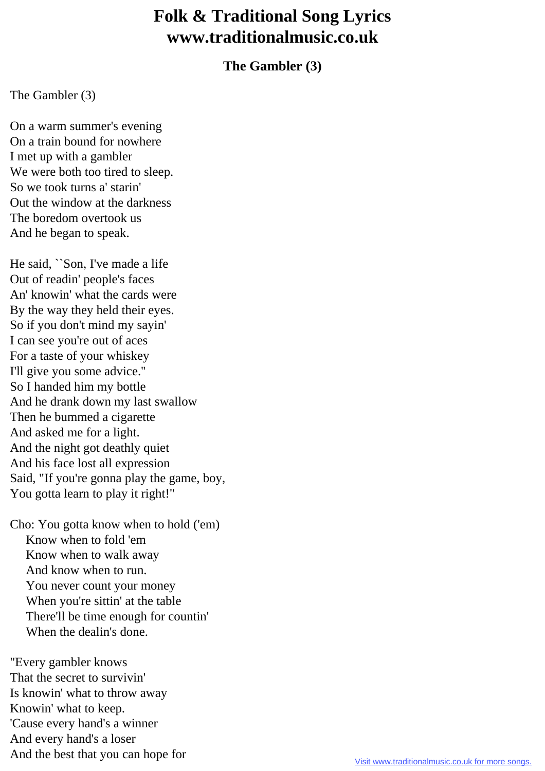## **Folk & Traditional Song Lyrics www.traditionalmusic.co.uk**

## **The Gambler (3)**

## The Gambler (3)

On a warm summer's evening On a train bound for nowhere I met up with a gambler We were both too tired to sleep. So we took turns a' starin' Out the window at the darkness The boredom overtook us And he began to speak.

He said, ``Son, I've made a life Out of readin' people's faces An' knowin' what the cards were By the way they held their eyes. So if you don't mind my sayin' I can see you're out of aces For a taste of your whiskey I'll give you some advice.'' So I handed him my bottle And he drank down my last swallow Then he bummed a cigarette And asked me for a light. And the night got deathly quiet And his face lost all expression Said, "If you're gonna play the game, boy, You gotta learn to play it right!"

Cho: You gotta know when to hold ('em) Know when to fold 'em Know when to walk away And know when to run. You never count your money When you're sittin' at the table There'll be time enough for countin' When the dealin's done.

"Every gambler knows That the secret to survivin' Is knowin' what to throw away Knowin' what to keep. 'Cause every hand's a winner And every hand's a loser And the best that you can hope for